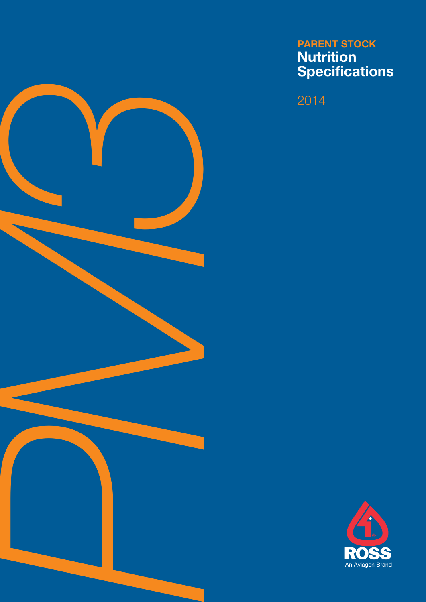

# PARENT STOCK Nutrition **Specifications**

2014

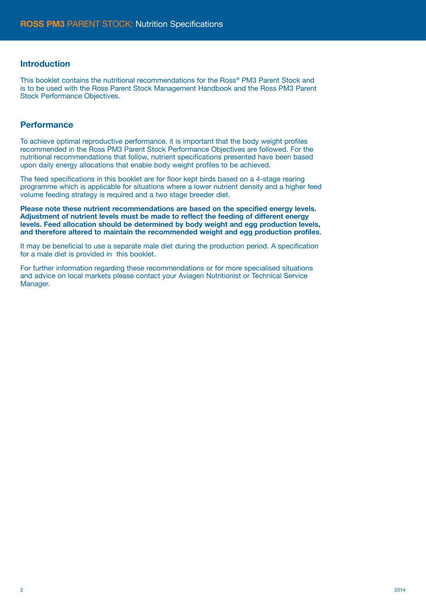### Introduction

This booklet contains the nutritional recommendations for the Ross® PM3 Parent Stock and is to be used with the Ross Parent Stock Management Handbook and the Ross PM3 Parent Stock Performance Objectives.

### **Performance**

To achieve optimal reproductive performance, it is important that the body weight profiles recommended in the Ross PM3 Parent Stock Performance Objectives are followed. For the nutritional recommendations that follow, nutrient specifications presented have been based upon daily energy allocations that enable body weight profiles to be achieved.

The feed specifications in this booklet are for floor kept birds based on a 4-stage rearing programme which is applicable for situations where a lower nutrient density and a higher feed volume feeding strategy is required and a two stage breeder diet.

Please note these nutrient recommendations are based on the specified energy levels. Adjustment of nutrient levels must be made to reflect the feeding of different energy levels. Feed allocation should be determined by body weight and egg production levels, and therefore altered to maintain the recommended weight and egg production profiles.

It may be beneficial to use a separate male diet during the production period. A specification for a male diet is provided in this booklet.

For further information regarding these recommendations or for more specialised situations and advice on local markets please contact your Aviagen Nutritionist or Technical Service Manager.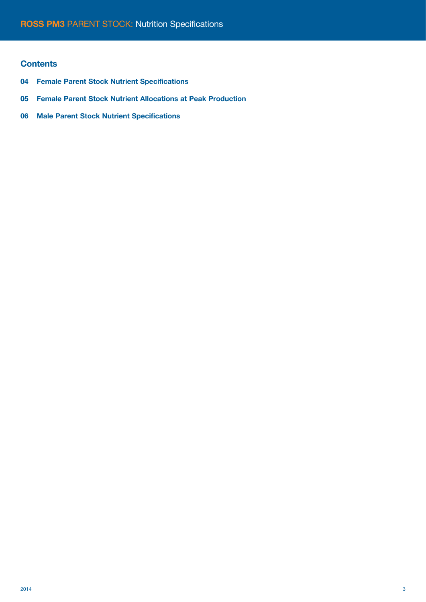## **Contents**

- 04 Female Parent Stock Nutrient Specifications
- 05 Female Parent Stock Nutrient Allocations at Peak Production
- 06 Male Parent Stock Nutrient Specifications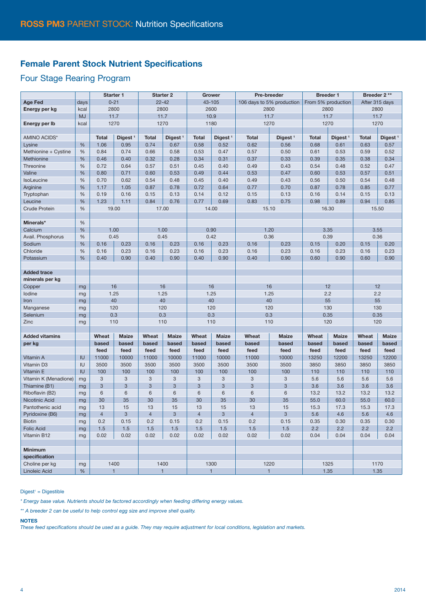## Female Parent Stock Nutrient Specifications

## Four Stage Rearing Program

|                                        |            | <b>Starter 1</b> |                           | <b>Starter 2</b> |                     | Grower         |                     | Pre-breeder               |                     | <b>Breeder 1</b>   |                     | Breeder 2**    |                     |
|----------------------------------------|------------|------------------|---------------------------|------------------|---------------------|----------------|---------------------|---------------------------|---------------------|--------------------|---------------------|----------------|---------------------|
| Age Fed                                | days       | $0 - 21$         |                           | $22 - 42$        |                     | 43-105         |                     | 106 days to 5% production |                     | From 5% production |                     | After 315 days |                     |
| Energy per kg                          | kcal       | 2800             |                           | 2800             |                     | 2600           |                     | 2800                      |                     | 2800               |                     | 2800           |                     |
|                                        | <b>MJ</b>  | 11.7             |                           | 11.7             |                     | 10.9           |                     | 11.7                      |                     | 11.7               |                     | 11.7           |                     |
| Energy per Ib                          | kcal       | 1270             |                           | 1270             |                     | 1180           |                     | 1270                      |                     | 1270               |                     | 1270           |                     |
|                                        |            |                  |                           |                  |                     |                |                     |                           |                     |                    |                     |                |                     |
| AMINO ACIDS*                           |            | <b>Total</b>     | Digest <sup>1</sup>       | <b>Total</b>     | Digest <sup>1</sup> | <b>Total</b>   | Digest <sup>1</sup> | <b>Total</b>              | Digest <sup>1</sup> | <b>Total</b>       | Digest <sup>1</sup> | <b>Total</b>   | Digest <sup>1</sup> |
| Lysine                                 | %          | 1.06             | 0.95                      | 0.74             | 0.67                | 0.58           | 0.52                | 0.62                      | 0.56                | 0.68               | 0.61                | 0.63           | 0.57                |
| Methionine + Cystine                   | %          | 0.84             | 0.74                      | 0.66             | 0.58                | 0.53           | 0.47                | 0.57                      | 0.50                | 0.61               | 0.53                | 0.59           | 0.52                |
| Methionine                             | %          | 0.46             | 0.40                      | 0.32             | 0.28                | 0.34           | 0.31                | 0.37                      | 0.33                | 0.39               | 0.35                | 0.38           | 0.34                |
| Threonine                              | %          | 0.72             | 0.64                      | 0.57             | 0.51                | 0.45           | 0.40                | 0.49                      | 0.43                | 0.54               | 0.48                | 0.52           | 0.47                |
| Valine                                 | %          | 0.80             | 0.71                      | 0.60             | 0.53                | 0.49           | 0.44                | 0.53                      | 0.47                | 0.60               | 0.53                | 0.57           | 0.51                |
| <b>IsoLeucine</b>                      | %          | 0.70             | 0.62                      | 0.54             | 0.48                | 0.45           | 0.40                | 0.49                      | 0.43                | 0.56               | 0.50                | 0.54           | 0.48                |
| Arginine                               | %          | 1.17             | 1.05                      | 0.87             | 0.78                | 0.72           | 0.64                | 0.77                      | 0.70                | 0.87               | 0.78                | 0.85           | 0.77                |
| Tryptophan                             | %          | 0.19             | 0.16                      | 0.15             | 0.13                | 0.14           | 0.12                | 0.15                      | 0.13                | 0.16               | 0.14                | 0.15           | 0.13                |
| Leucine                                | %          | 1.23             | 1.11                      | 0.84             | 0.76                | 0.77           | 0.69                | 0.83                      | 0.75                | 0.98               | 0.89                | 0.94           | 0.85                |
| <b>Crude Protein</b>                   | %          |                  | 19.00                     |                  | 17.00               |                | 14.00               | 15.10                     |                     | 16.30              |                     | 15.50          |                     |
|                                        |            |                  |                           |                  |                     |                |                     |                           |                     |                    |                     |                |                     |
| Minerals*                              | %          |                  |                           |                  |                     |                |                     |                           |                     |                    |                     |                |                     |
| Calcium                                | %          | 1.00<br>0.45     |                           | 1.00<br>0.45     |                     | 0.90<br>0.42   |                     | 1.20<br>0.36              |                     | 3.35<br>0.39       |                     | 3.55<br>0.36   |                     |
| Avail. Phosphorus<br>Sodium            | %<br>%     | 0.16             | 0.23                      | 0.16             | 0.23                | 0.16           | 0.23                | 0.16                      | 0.23                | 0.15               | 0.20                | 0.15           | 0.20                |
| Chloride                               | %          | 0.16             | 0.23                      | 0.16             | 0.23                | 0.16           | 0.23                | 0.16                      | 0.23                | 0.16               | 0.23                | 0.16           | 0.23                |
| Potassium                              | %          | 0.40             | 0.90                      | 0.40             | 0.90                | 0.40           | 0.90                | 0.40                      | 0.90                | 0.60               | 0.90                | 0.60           | 0.90                |
|                                        |            |                  |                           |                  |                     |                |                     |                           |                     |                    |                     |                |                     |
| <b>Added trace</b>                     |            |                  |                           |                  |                     |                |                     |                           |                     |                    |                     |                |                     |
| minerals per kg                        |            |                  |                           |                  |                     |                |                     |                           |                     |                    |                     |                |                     |
| Copper                                 | mg         |                  | 16                        |                  | 16                  |                | 16                  |                           | 16                  |                    | 12                  |                | 12                  |
| lodine                                 | mg         | 1.25             |                           | 1.25             |                     | 1.25           |                     | 1.25                      |                     | 2.2                |                     | 2.2            |                     |
| Iron                                   | mg         | 40               |                           | 40               |                     | 40             |                     | 40                        |                     | 55                 |                     | 55             |                     |
| Manganese                              | mg         | 120              |                           | 120              |                     | 120            |                     | 120                       |                     | 130                |                     | 130            |                     |
| Selenium                               | mg         | 0.3              |                           | 0.3              |                     | 0.3            |                     | 0.3                       |                     | 0.35               |                     | 0.35           |                     |
| Zinc                                   | mg         | 110              |                           | 110              |                     | 110            |                     | 110                       |                     | 120                |                     | 120            |                     |
|                                        |            |                  |                           |                  |                     |                |                     |                           |                     |                    |                     |                |                     |
| <b>Added vitamins</b>                  |            | Wheat            | <b>Maize</b>              | Wheat            | <b>Maize</b>        | Wheat          | <b>Maize</b>        | Wheat                     | <b>Maize</b>        | Wheat              | Maize               | Wheat          | <b>Maize</b>        |
| per kg                                 |            | based            | based                     | based            | based               | based          | based               | based                     | based               | based              | based               | based          | based               |
|                                        |            | feed             | feed                      | feed             | feed                | feed           | feed                | feed                      | feed                | feed               | feed                | feed           | feed                |
| Vitamin A                              | IU         | 11000            | 10000                     | 11000            | 10000               | 11000          | 10000               | 11000                     | 10000               | 13250              | 12200               | 13250          | 12200               |
| Vitamin D3                             | IU         | 3500             | 3500                      | 3500             | 3500                | 3500           | 3500                | 3500                      | 3500                | 3850               | 3850                | 3850           | 3850                |
| Vitamin E                              | IU         | 100              | 100                       | 100              | 100                 | 100            | 100                 | 100                       | 100                 | 110                | 110                 | 110            | 110                 |
| Vitamin K (Menadione)                  | mg         | 3                | $\ensuremath{\mathsf{3}}$ | 3                | 3                   | 3              | 3                   | 3                         | 3                   | 5.6                | 5.6                 | 5.6            | 5.6                 |
| Thiamine (B1)                          | mg         | 3                | 3                         | 3                | $\sqrt{3}$          | 3              | 3                   | 3                         | $\sqrt{3}$          | 3.6                | 3.6                 | 3.6            | 3.6                 |
| Riboflavin (B2)                        | mg         | 6                | 6                         | 6                | 6                   | 6              | 6                   | 6                         | 6                   | 13.2               | 13.2                | 13.2           | 13.2                |
| <b>Nicotinic Acid</b>                  | mg         | 30               | 35                        | 30               | 35                  | 30             | 35                  | 30                        | 35                  | 55.0               | 60.0                | 55.0           | 60.0                |
| Pantothenic acid                       | mg         | 13               | 15                        | 13               | 15                  | 13             | 15                  | 13                        | 15                  | 15.3               | 17.3                | 15.3           | 17.3                |
| Pyridoxine (B6)                        | mg         | $\overline{4}$   | 3                         | $\overline{4}$   | 3                   | $\overline{4}$ | 3                   | 4                         | 3                   | 5.6                | 4.6                 | 5.6            | 4.6                 |
| Biotin                                 | mg         | 0.2              | 0.15                      | 0.2              | 0.15                | 0.2            | 0.15                | 0.2                       | 0.15                | 0.35               | 0.30                | 0.35           | 0.30                |
| <b>Folic Acid</b>                      | mg         | 1.5              | 1.5                       | 1.5              | 1.5                 | 1.5            | 1.5                 | $1.5$                     | 1.5                 | 2.2                | 2.2                 | 2.2            | 2.2                 |
| Vitamin B12                            | mg         | 0.02             | 0.02                      | 0.02             | 0.02                | 0.02           | 0.02                | 0.02                      | 0.02                | 0.04               | 0.04                | 0.04           | 0.04                |
|                                        |            |                  |                           |                  |                     |                |                     |                           |                     |                    |                     |                |                     |
| <b>Minimum</b>                         |            |                  |                           |                  |                     |                |                     |                           |                     |                    |                     |                |                     |
| specification                          |            | 1400             |                           | 1400             |                     | 1300           |                     | 1220                      |                     | 1325               |                     | 1170           |                     |
| Choline per kg<br><b>Linoleic Acid</b> | mg<br>$\%$ |                  |                           |                  |                     |                | $\mathbf{1}$        | $\mathbf{1}$              |                     |                    | 1.35                |                |                     |
|                                        |            | $\mathbf{1}$     |                           | $\mathbf{1}$     |                     |                |                     |                           |                     |                    |                     | 1.35           |                     |

 $Digest<sup>1</sup> = Digestible$ 

\* Energy base value. Nutrients should be factored accordingly when feeding differing energy values.

\*\* A breeder 2 can be useful to help control egg size and improve shell quality.

NOTES

These feed specifications should be used as a guide. They may require adjustment for local conditions, legislation and markets.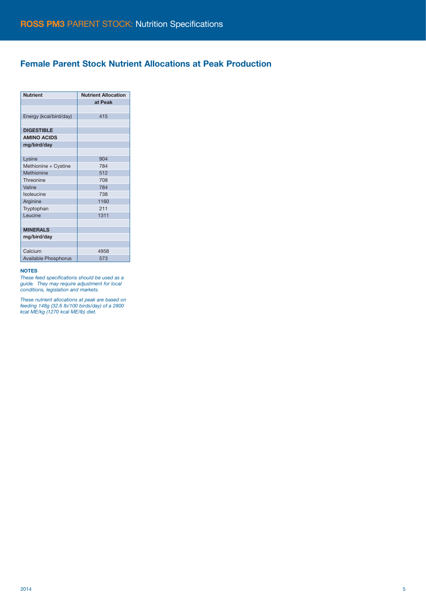## Female Parent Stock Nutrient Allocations at Peak Production

| <b>Nutrient</b>             | <b>Nutrient Allocation</b> |
|-----------------------------|----------------------------|
|                             | at Peak                    |
|                             |                            |
| Energy (kcal/bird/day)      | 415                        |
|                             |                            |
| <b>DIGESTIBLE</b>           |                            |
| <b>AMINO ACIDS</b>          |                            |
| mg/bird/day                 |                            |
|                             |                            |
| Lysine                      | 904                        |
| Methionine + Cystine        | 784                        |
| Methionine                  | 512                        |
| Threonine                   | 708                        |
| Valine                      | 784                        |
| Isoleucine                  | 738                        |
| Arginine                    | 1160                       |
| Tryptophan                  | 211                        |
| Leucine                     | 1311                       |
|                             |                            |
| <b>MINERALS</b>             |                            |
| mg/bird/day                 |                            |
|                             |                            |
| Calcium                     | 4958                       |
| <b>Available Phosphorus</b> | 573                        |

#### NOTES

These feed specifications should be used as a guide. They may require adjustment for local conditions, legislation and markets.

These nutrient allocations at peak are based on feeding 148g (32.6 lb/100 birds/day) of a 2800 kcal ME/kg (1270 kcal ME/lb) diet.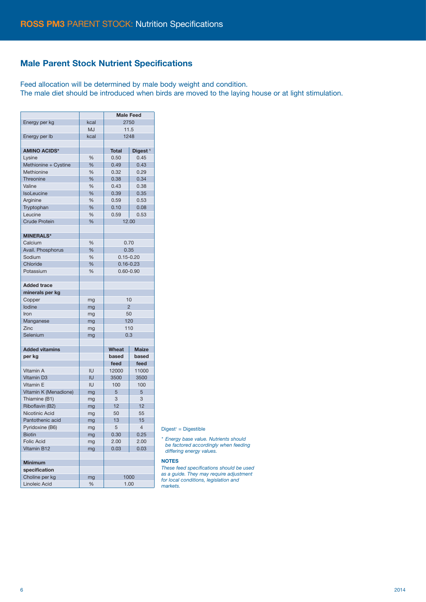## Male Parent Stock Nutrient Specifications

Feed allocation will be determined by male body weight and condition.

The male diet should be introduced when birds are moved to the laying house or at light stimulation.

|                       |               | <b>Male Feed</b> |                     |  |
|-----------------------|---------------|------------------|---------------------|--|
| Energy per kg         | kcal          | 2750             |                     |  |
|                       | <b>MJ</b>     | 11.5             |                     |  |
| Energy per Ib         | kcal          | 1248             |                     |  |
|                       |               |                  |                     |  |
| <b>AMINO ACIDS*</b>   |               | <b>Total</b>     | Digest <sup>1</sup> |  |
| Lysine                | %             | 0.50             | 0.45                |  |
| Methionine + Cystine  | %             | 0.49             | 0.43                |  |
| Methionine            | %             | 0.32             | 0.29                |  |
| Threonine             | %             | 0.38             | 0.34                |  |
| Valine                | %             | 0.43             | 0.38                |  |
| <b>IsoLeucine</b>     | %             | 0.39             | 0.35                |  |
| Arginine              | %             | 0.59             | 0.53                |  |
| Tryptophan            | %             | 0.10             | 0.08                |  |
| Leucine               | %             | 0.59             | 0.53                |  |
| <b>Crude Protein</b>  | %             | 12.00            |                     |  |
|                       |               |                  |                     |  |
| <b>MINERALS*</b>      |               |                  |                     |  |
| Calcium               | %             | 0.70             |                     |  |
| Avail. Phosphorus     | %             | 0.35             |                     |  |
| Sodium                | %             | $0.15 - 0.20$    |                     |  |
| Chloride              | $\frac{9}{6}$ | $0.16 - 0.23$    |                     |  |
| Potassium             | %             | $0.60 - 0.90$    |                     |  |
|                       |               |                  |                     |  |
| <b>Added trace</b>    |               |                  |                     |  |
| minerals per kg       |               |                  |                     |  |
| Copper                | mg            |                  | 10                  |  |
| lodine                | mg            | $\overline{2}$   |                     |  |
| Iron                  | mg            | 50               |                     |  |
| Manganese             | mg            | 120              |                     |  |
| Zinc                  | mg            | 110              |                     |  |
| Selenium              | mg            | 0.3              |                     |  |
|                       |               |                  |                     |  |
| <b>Added vitamins</b> |               | Wheat            | <b>Maize</b>        |  |
| per kg                |               | based            | based               |  |
|                       |               | feed             | feed                |  |
| Vitamin A             | IU            | 12000            | 11000               |  |
| <b>Vitamin D3</b>     | IU            | 3500             | 3500                |  |
| Vitamin E             | IU            | 100              | 100                 |  |
| Vitamin K (Menadione) | mg            | 5                | 5                   |  |
| Thiamine (B1)         | mg            | 3                | 3                   |  |
| Riboflavin (B2)       | mg            | 12               | 12                  |  |
| Nicotinic Acid        | mg            | 50               | 55                  |  |
| Pantothenic acid      | mg            | 13               | 15                  |  |
| Pyridoxine (B6)       | mg            | 5                | $\overline{4}$      |  |
| <b>Biotin</b>         | mg            | 0.30             | 0.25                |  |
| <b>Folic Acid</b>     | mg            | 2.00             | 2.00                |  |
| Vitamin B12           | mg            | 0.03             | 0.03                |  |
|                       |               |                  |                     |  |
| <b>Minimum</b>        |               |                  |                     |  |
| specification         |               |                  |                     |  |
| Choline per kg        |               |                  | 1000                |  |
| Linoleic Acid         | mg<br>%       | 1.00             |                     |  |
|                       |               |                  |                     |  |

#### Digest<sup>1</sup> = Digestible

\* Energy base value. Nutrients should be factored accordingly when feeding differing energy values.

#### NOTES

These feed specifications should be used as a guide. They may require adjustment for local conditions, legislation and markets.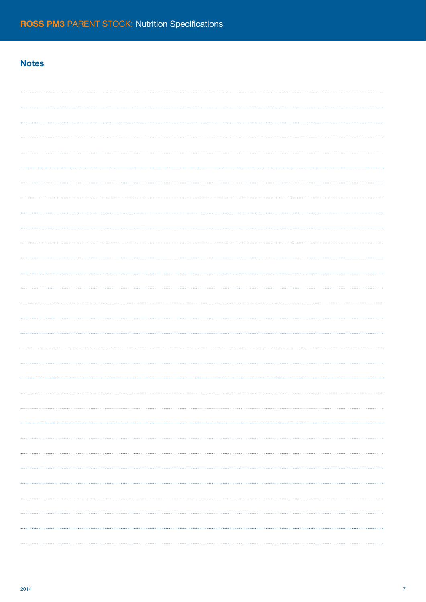## **Notes**